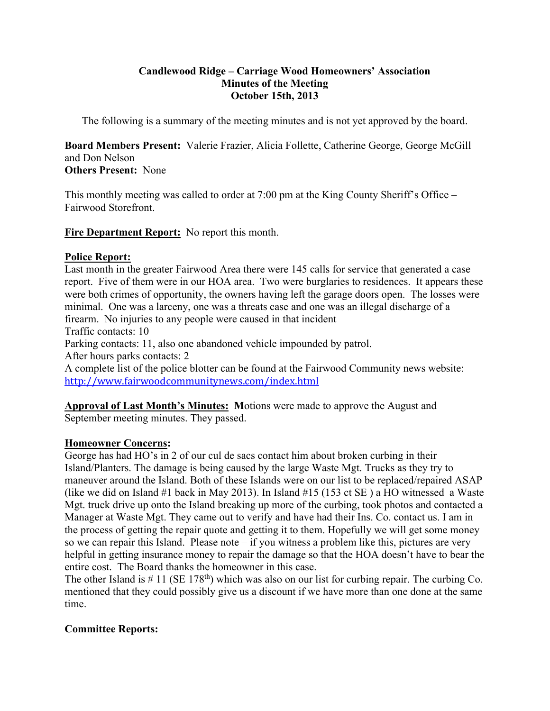### **Candlewood Ridge – Carriage Wood Homeowners' Association Minutes of the Meeting October 15th, 2013**

The following is a summary of the meeting minutes and is not yet approved by the board.

**Board Members Present:** Valerie Frazier, Alicia Follette, Catherine George, George McGill and Don Nelson

**Others Present:** None

This monthly meeting was called to order at 7:00 pm at the King County Sheriff's Office – Fairwood Storefront.

**Fire Department Report:** No report this month.

# **Police Report:**

Last month in the greater Fairwood Area there were 145 calls for service that generated a case report. Five of them were in our HOA area. Two were burglaries to residences. It appears these were both crimes of opportunity, the owners having left the garage doors open. The losses were minimal. One was a larceny, one was a threats case and one was an illegal discharge of a firearm. No injuries to any people were caused in that incident

Traffic contacts: 10

Parking contacts: 11, also one abandoned vehicle impounded by patrol.

After hours parks contacts: 2

A complete list of the police blotter can be found at the Fairwood Community news website: http://www.fairwoodcommunitynews.com/index.html

**Approval of Last Month's Minutes: M**otions were made to approve the August and September meeting minutes. They passed.

# **Homeowner Concerns:**

George has had HO's in 2 of our cul de sacs contact him about broken curbing in their Island/Planters. The damage is being caused by the large Waste Mgt. Trucks as they try to maneuver around the Island. Both of these Islands were on our list to be replaced/repaired ASAP (like we did on Island #1 back in May 2013). In Island #15 (153 ct SE ) a HO witnessed a Waste Mgt. truck drive up onto the Island breaking up more of the curbing, took photos and contacted a Manager at Waste Mgt. They came out to verify and have had their Ins. Co. contact us. I am in the process of getting the repair quote and getting it to them. Hopefully we will get some money so we can repair this Island. Please note – if you witness a problem like this, pictures are very helpful in getting insurance money to repair the damage so that the HOA doesn't have to bear the entire cost. The Board thanks the homeowner in this case.

The other Island is  $\# 11$  (SE 178<sup>th</sup>) which was also on our list for curbing repair. The curbing Co. mentioned that they could possibly give us a discount if we have more than one done at the same time.

# **Committee Reports:**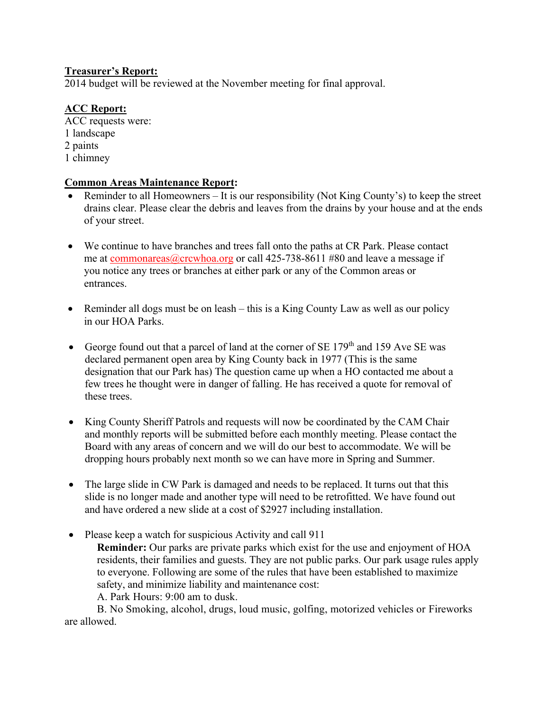## **Treasurer's Report:**

2014 budget will be reviewed at the November meeting for final approval.

# **ACC Report:**

ACC requests were: 1 landscape 2 paints 1 chimney

#### **Common Areas Maintenance Report:**

- Reminder to all Homeowners It is our responsibility (Not King County's) to keep the street drains clear. Please clear the debris and leaves from the drains by your house and at the ends of your street.
- We continue to have branches and trees fall onto the paths at CR Park. Please contact me at commonareas@crcwhoa.org or call 425-738-8611 #80 and leave a message if you notice any trees or branches at either park or any of the Common areas or entrances.
- Reminder all dogs must be on leash this is a King County Law as well as our policy in our HOA Parks.
- George found out that a parcel of land at the corner of SE  $179<sup>th</sup>$  and 159 Ave SE was declared permanent open area by King County back in 1977 (This is the same designation that our Park has) The question came up when a HO contacted me about a few trees he thought were in danger of falling. He has received a quote for removal of these trees.
- King County Sheriff Patrols and requests will now be coordinated by the CAM Chair and monthly reports will be submitted before each monthly meeting. Please contact the Board with any areas of concern and we will do our best to accommodate. We will be dropping hours probably next month so we can have more in Spring and Summer.
- The large slide in CW Park is damaged and needs to be replaced. It turns out that this slide is no longer made and another type will need to be retrofitted. We have found out and have ordered a new slide at a cost of \$2927 including installation.
- Please keep a watch for suspicious Activity and call 911
	- **Reminder:** Our parks are private parks which exist for the use and enjoyment of HOA residents, their families and guests. They are not public parks. Our park usage rules apply to everyone. Following are some of the rules that have been established to maximize safety, and minimize liability and maintenance cost:

A. Park Hours: 9:00 am to dusk.

B. No Smoking, alcohol, drugs, loud music, golfing, motorized vehicles or Fireworks are allowed.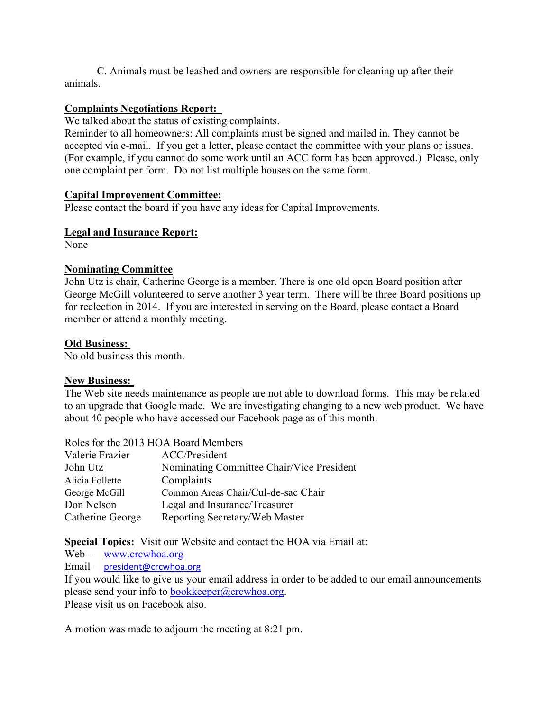C. Animals must be leashed and owners are responsible for cleaning up after their animals.

## **Complaints Negotiations Report:**

We talked about the status of existing complaints.

Reminder to all homeowners: All complaints must be signed and mailed in. They cannot be accepted via e-mail. If you get a letter, please contact the committee with your plans or issues. (For example, if you cannot do some work until an ACC form has been approved.) Please, only one complaint per form. Do not list multiple houses on the same form.

#### **Capital Improvement Committee:**

Please contact the board if you have any ideas for Capital Improvements.

#### **Legal and Insurance Report:**

None

#### **Nominating Committee**

John Utz is chair, Catherine George is a member. There is one old open Board position after George McGill volunteered to serve another 3 year term. There will be three Board positions up for reelection in 2014. If you are interested in serving on the Board, please contact a Board member or attend a monthly meeting.

#### **Old Business:**

No old business this month.

#### **New Business:**

The Web site needs maintenance as people are not able to download forms. This may be related to an upgrade that Google made. We are investigating changing to a new web product. We have about 40 people who have accessed our Facebook page as of this month.

| Valerie Frazier  | ACC/President                             |
|------------------|-------------------------------------------|
| John Utz         | Nominating Committee Chair/Vice President |
| Alicia Follette  | Complaints                                |
| George McGill    | Common Areas Chair/Cul-de-sac Chair       |
| Don Nelson       | Legal and Insurance/Treasurer             |
| Catherine George | Reporting Secretary/Web Master            |

**Special Topics:** Visit our Website and contact the HOA via Email at:

Web – www.crcwhoa.org

Email – president@crcwhoa.org

If you would like to give us your email address in order to be added to our email announcements please send your info to bookkeeper@crcwhoa.org. Please visit us on Facebook also.

A motion was made to adjourn the meeting at 8:21 pm.